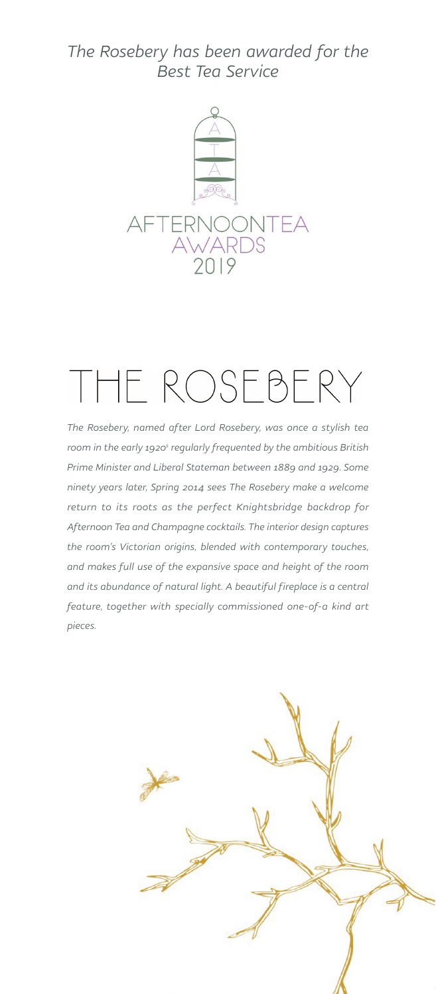### *The Rosebery has been awarded for the Best Tea Service*



# THE ROSEBERY

*The Rosebery, named after Lord Rosebery, was once a stylish tea*  room in the early 1920<sup>s</sup> regularly frequented by the ambitious British *Prime Minister and Liberal Stateman between 1889 and 1929. Some ninety years later, Spring 2014 sees The Rosebery make a welcome return to its roots as the perfect Knightsbridge backdrop for Afternoon Tea and Champagne cocktails. The interior design captures the room's Victorian origins, blended with contemporary touches, and makes full use of the expansive space and height of the room*  and its abundance of natural light. A beautiful fireplace is a central *feature, together with specially commissioned one-of-a kind art pieces.*

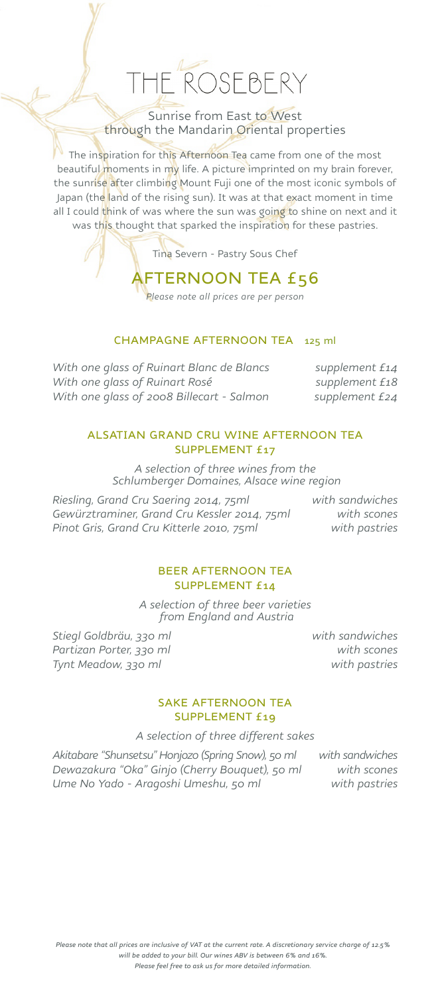Sunrise from East to West through the Mandarin Oriental properties

The inspiration for this Afternoon Tea came from one of the most beautiful moments in my life. A picture imprinted on my brain forever, the sunrise after climbing Mount Fuji one of the most iconic symbols of Japan (the land of the rising sun). It was at that exact moment in time all I could think of was where the sun was going to shine on next and it was this thought that sparked the inspiration for these pastries.

Tina Severn - Pastry Sous Chef

AFTERNOON TEA £56

*Please note all prices are per person* 

#### CHAMPAGNE AFTERNOON TEA 125 ml

*With one glass of Ruinart Blanc de Blancs* supplement £14<br>With one glass of Ruinart Rosé supplement £18 *With one glass of Ruinart Rosé With one glass of 2008 Billecart - Salmon supplement £24*

#### ALSATIAN GRAND CRU WINE AFTERNOON TEA SUPPLEMENT £17

*A selection of three wines from the Schlumberger Domaines, Alsace wine region*

*Riesling, Grand Cru Saering 2014, 75ml with sandwiches Gewürztraminer, Grand Cru Kessler 2014, 75ml with scones Pinot Gris, Grand Cru Kitterle 2010, 75ml with pastries*

#### BEER AFTERNOON TEA SUPPLEMENT £14

*A selection of three beer varieties from England and Austria*

*Stiegl Goldbräu, 330 ml with sandwiches Partizan Porter, 330 ml with scones Tynt Meadow, 330 ml with pastries*

#### SAKE AFTERNOON TEA SUPPLEMENT £19

*A selection of three different sakes*

*Akitabare "Shunsetsu" Honjozo (Spring Snow), 50 ml with sandwiches Dewazakura "Oka" Ginjo (Cherry Bouquet), 50 ml with scones Ume No Yado - Aragoshi Umeshu, 50 ml with pastries*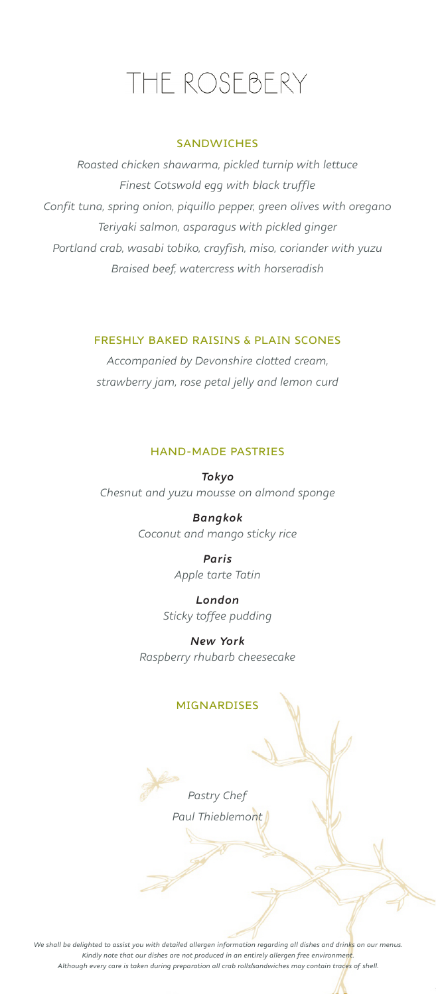#### **SANDWICHES**

*Roasted chicken shawarma, pickled turnip with lettuce Finest Cotswold egg with black truffle Confit tuna, spring onion, piquillo pepper, green olives with oregano Teriyaki salmon, asparagus with pickled ginger Portland crab, wasabi tobiko, crayfish, miso, coriander with yuzu Braised beef, watercress with horseradish*

#### FRESHLY BAKED RAISINS & PLAIN SCONES

*Accompanied by Devonshire clotted cream, strawberry jam, rose petal jelly and lemon curd*

#### HAND-MADE PASTRIES

*Tokyo Chesnut and yuzu mousse on almond sponge*

> *Bangkok Coconut and mango sticky rice*

> > *Paris Apple tarte Tatin*

*London Sticky toffee pudding*

*New York Raspberry rhubarb cheesecake*

#### MIGNARDISES

*Pastry Chef Paul Thieblemont*

*We shall be delighted to assist you with detailed allergen information regarding all dishes and drinks on our menus. Kindly note that our dishes are not produced in an entirely allergen free environment. Although every care is taken during preparation all crab rolls/sandwiches may contain traces of shell.*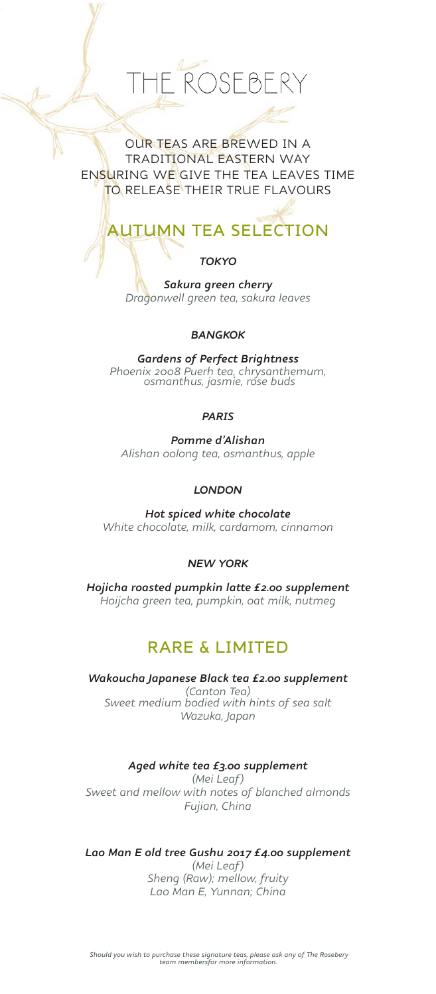# ROSFBERY

OUR TEAS ARE BREWED IN A TRADITIONAL EASTERN WAY ENSURING WE GIVE THE TEA LEAVES TIME TO RELEASE THEIR TRUE FLAVOURS

## AUTUMN TEA SELECTION

#### *TOKYO*

*Sakura green cherry Dragonwell green tea, sakura leaves*

#### *BANGKOK*

*Gardens of Perfect Brightness Phoenix 2008 Puerh tea, chrysanthemum, osmanthus, jasmie, rose buds*

#### *PARIS*

*Pomme d'Alishan Alishan oolong tea, osmanthus, apple*

#### *LONDON*

*Hot spiced white chocolate White chocolate, milk, cardamom, cinnamon*

#### *NEW YORK*

*Hojicha roasted pumpkin latte £2.00 supplement Hoijcha green tea, pumpkin, oat milk, nutmeg*

### RARE & LIMITED

*Wakoucha Japanese Black tea £2.00 supplement (Canton Tea) Sweet medium bodied with hints of sea salt Wazuka, Japan*

#### *Aged white tea £3.00 supplement*

*(Mei Leaf) Sweet and mellow with notes of blanched almonds Fujian, China*

#### *Lao Man E old tree Gushu 2017 £4.00 supplement*

*(Mei Leaf) Sheng (Raw); mellow, fruity Lao Man E, Yunnan; China*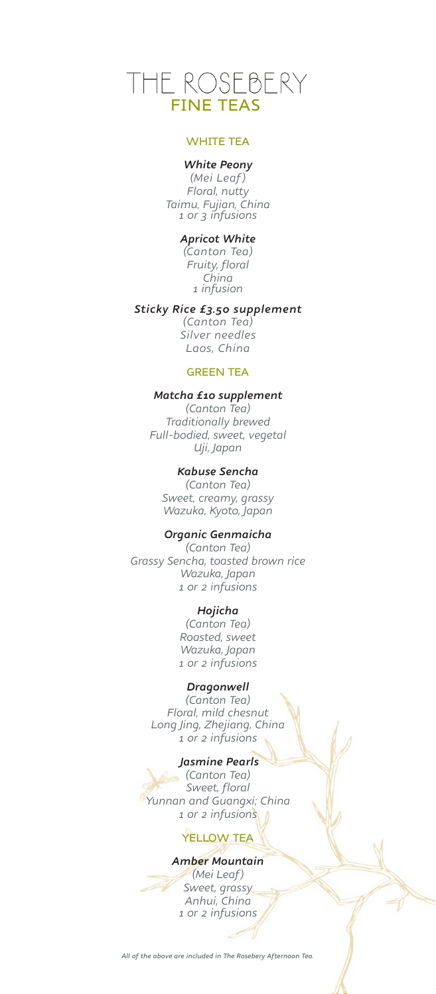# THE ROSEBERY<br>FINE TEAS

#### WHITE TEA

#### *White Peony*

*(Mei Leaf) Floral, nutty Taimu, Fujian, China 1 or 3 infusions*

#### *Apricot White*

*(Canton Tea) Fruity, floral China 1 infusion*

#### *Sticky Rice £3.50 supplement*

*(Canton Tea) Silver needles Laos, China*

#### GREEN TEA

#### *Matcha £10 supplement*

*(Canton Tea) Traditionally brewed Full-bodied, sweet, vegetal Uji, Japan*

#### *Kabuse Sencha*

*(Canton Tea) Sweet, creamy, grassy Wazuka, Kyoto, Japan*

#### *Organic Genmaicha*

*(Canton Tea) Grassy Sencha, toasted brown rice Wazuka, Japan 1 or 2 infusions*

#### *Hojicha*

*(Canton Tea) Roasted, sweet Wazuka, Japan 1 or 2 infusions*

#### *Dragonwell*

*(Canton Tea) Floral, mild chesnut Long Jing, Zhejiang, China 1 or 2 infusions*

#### *Jasmine Pearls*

*(Canton Tea) Sweet, floral Yunnan and Guangxi; China 1 or 2 infusions*

#### YELLOW TEA

#### *Amber Mountain*

*(Mei Leaf) Sweet, grassy Anhui, China 1 or 2 infusions*

#### *All of the above are included in The Rosebery Afternoon Tea.*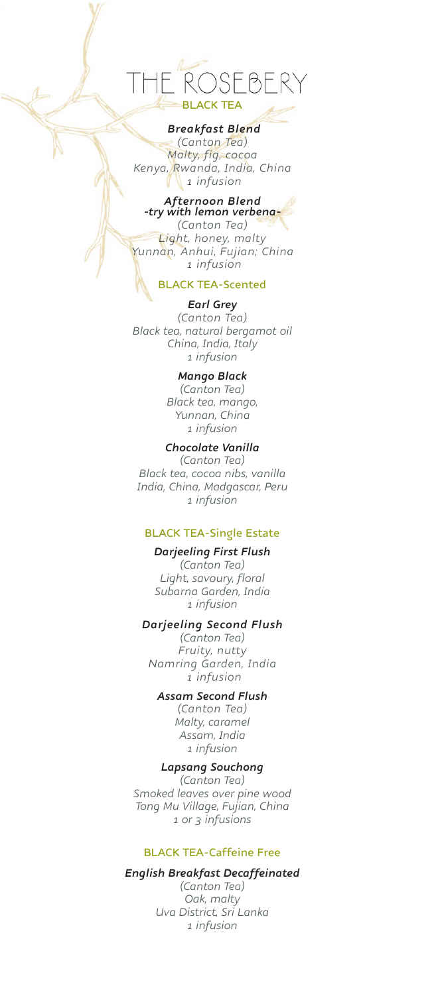# $= \beta F$ BLACK TEA

#### *Breakfast Blend*

*(Canton Tea) Malty, fig, cocoa Kenya, Rwanda, India, China 1 infusion*

## *Afternoon Blend -try with lemon verbena-*

*(Canton Tea) Light, honey, malty Yunnan, Anhui, Fujian; China 1 infusion* 

#### BLACK TEA-Scented

#### *Earl Grey (Canton Tea) Black tea, natural bergamot oil China, India, Italy 1 infusion*

#### *Mango Black*

*(Canton Tea) Black tea, mango, Yunnan, China 1 infusion*

#### *Chocolate Vanilla (Canton Tea) Black tea, cocoa nibs, vanilla India, China, Madgascar, Peru*

*1 infusion*

#### BLACK TEA-Single Estate

#### *Darjeeling First Flush*

*(Canton Tea) Light, savoury, floral Subarna Garden, India 1 infusion* 

#### *Darjeeling Second Flush*

*(Canton Tea) Fruity, nutty Namring Garden, India 1 infusion*

#### *Assam Second Flush*

*(Canton Tea) Malty, caramel Assam, India 1 infusion*

#### *Lapsang Souchong*

*(Canton Tea) Smoked leaves over pine wood Tong Mu Village, Fujian, China 1 or 3 infusions*

#### BLACK TEA-Caffeine Free

#### *English Breakfast Decaffeinated*

*(Canton Tea) Oak, malty Uva District, Sri Lanka 1 infusion*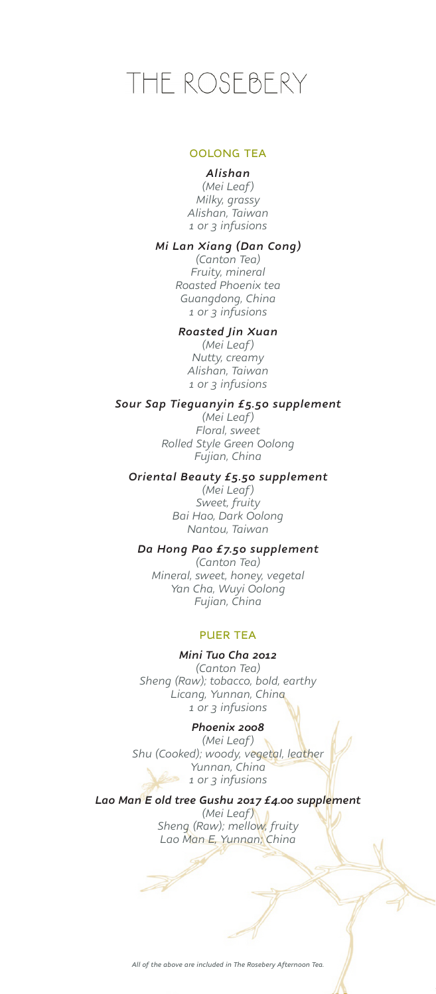#### OOLONG TEA

#### *Alishan*

*(Mei Leaf) Milky, grassy Alishan, Taiwan 1 or 3 infusions*

#### *Mi Lan Xiang (Dan Cong)*

*(Canton Tea) Fruity, mineral Roasted Phoenix tea Guangdong, China 1 or 3 infusions* 

#### *Roasted Jin Xuan*

*(Mei Leaf) Nutty, creamy Alishan, Taiwan 1 or 3 infusions*

#### *Sour Sap Tieguanyin £5.50 supplement*

*(Mei Leaf) Floral, sweet Rolled Style Green Oolong Fujian, China*

#### *Oriental Beauty £5.50 supplement*

*(Mei Leaf) Sweet, fruity Bai Hao, Dark Oolong Nantou, Taiwan*

#### *Da Hong Pao £7.50 supplement*

*(Canton Tea) Mineral, sweet, honey, vegetal Yan Cha, Wuyi Oolong Fujian, China*

#### PUER TEA

#### *Mini Tuo Cha 2012*

*(Canton Tea) Sheng (Raw); tobacco, bold, earthy Licang, Yunnan, China 1 or 3 infusions*

#### *Phoenix 2008*

*(Mei Leaf) Shu (Cooked); woody, vegetal, leather Yunnan, China 1 or 3 infusions*

#### *Lao Man E old tree Gushu 2017 £4.00 supplement*

*(Mei Leaf) Sheng (Raw); mellow, fruity Lao Man E, Yunnan; China*

Â

*All of the above are included in The Rosebery Afternoon Tea.*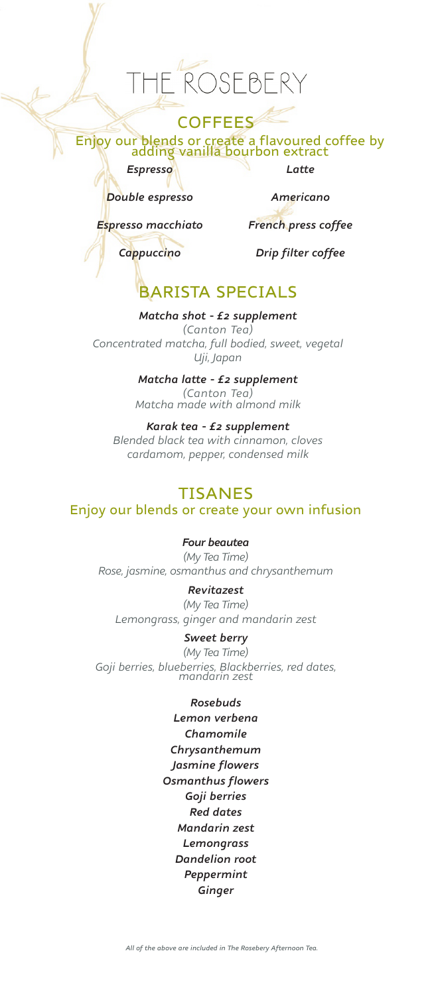#### **COFFEES**

Enjoy our blends or create a flavoured coffee by adding vanilla bourbon extract

*Espresso*

*Double espresso*

*Americano*

*Latte*

*Espresso macchiato*

*Cappuccino*

*Drip filter coffee*

*French press coffee*

## BARISTA SPECIALS

*Matcha shot - £2 supplement (Canton Tea) Concentrated matcha, full bodied, sweet, vegetal Uji, Japan*

> *Matcha latte - £2 supplement (Canton Tea) Matcha made with almond milk*

*Karak tea - £2 supplement Blended black tea with cinnamon, cloves cardamom, pepper, condensed milk*

### TISANES

Enjoy our blends or create your own infusion

*Four beautea*

*(My Tea Time) Rose, jasmine, osmanthus and chrysanthemum*

*Revitazest (My Tea Time) Lemongrass, ginger and mandarin zest*

#### *Sweet berry*

*(My Tea Time) Goji berries, blueberries, Blackberries, red dates, mandarin zest*

#### *Rosebuds*

*Lemon verbena Chamomile Chrysanthemum Jasmine flowers Osmanthus flowers Goji berries Red dates Mandarin zest Lemongrass Dandelion root Peppermint Ginger*

*All of the above are included in The Rosebery Afternoon Tea.*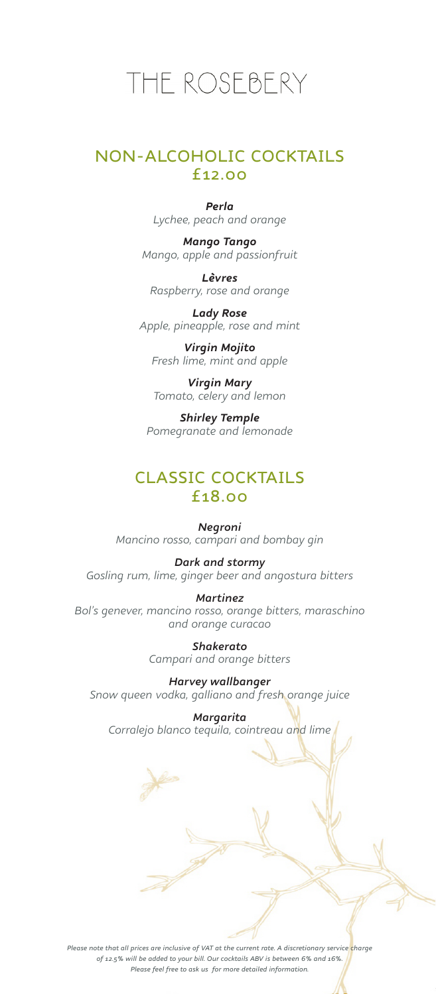#### NON-ALCOHOLIC COCKTAILS £12.00

*Perla Lychee, peach and orange*

*Mango Tango Mango, apple and passionfruit*

*Lèvres Raspberry, rose and orange*

*Lady Rose Apple, pineapple, rose and mint*

*Virgin Mojito Fresh lime, mint and apple*

*Virgin Mary Tomato, celery and lemon*

*Shirley Temple Pomegranate and lemonade*

### CLASSIC COCKTAILS £18.00

*Negroni Mancino rosso, campari and bombay gin*

*Dark and stormy Gosling rum, lime, ginger beer and angostura bitters*

*Martinez Bol's genever, mancino rosso, orange bitters, maraschino and orange curacao*

> *Shakerato Campari and orange bitters*

*Harvey wallbanger Snow queen vodka, galliano and fresh orange juice*

*Margarita Corralejo blanco tequila, cointreau and lime*

*Please note that all prices are inclusive of VAT at the current rate. A discretionary service charge of 12.5% will be added to your bill. Our cocktails ABV is between 6% and 16%. Please feel free to ask us for more detailed information.*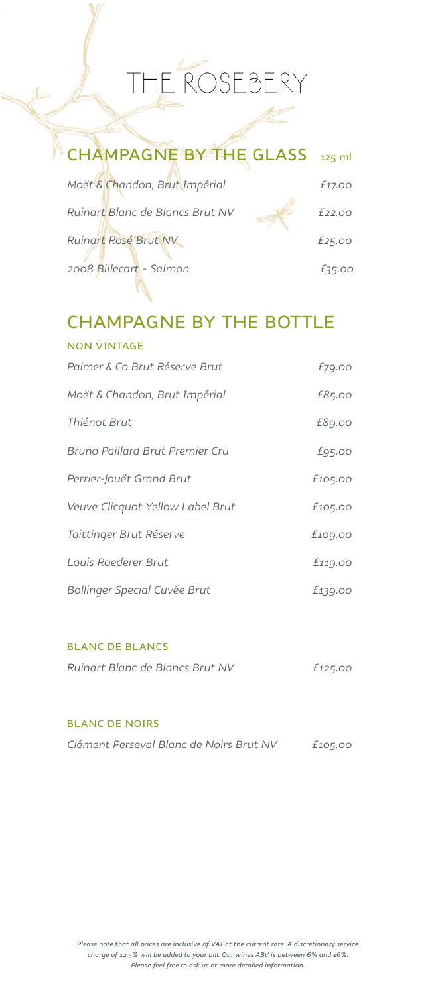| CHAMPAGNE BY THE GLASS 125 ml   |        |
|---------------------------------|--------|
| Moët & Chandon, Brut Impérial   | £17.00 |
| Ruinart Blanc de Blancs Brut NV | f22.00 |
| <b>Ruinart Rosé Brut NV</b>     | £25.00 |
| 2008 Billecart - Salmon         | £35.00 |

# CHAMPAGNE BY THE BOTTLE

| <b>NON VINTAGE</b>               |         |
|----------------------------------|---------|
| Palmer & Co Brut Réserve Brut    | £79.00  |
| Moët & Chandon, Brut Impérial    | £85.00  |
| Thiénot Brut                     | £89.00  |
| Bruno Paillard Brut Premier Cru  | £95.00  |
| Perrier-Jouët Grand Brut         | £105.00 |
| Veuve Clicquot Yellow Label Brut | £105.00 |
| Taittinger Brut Réserve          | £109.00 |
| Louis Roederer Brut              | £119.00 |
| Bollinger Special Cuvée Brut     | £139.00 |

#### BLANC DE BLANCS

| Ruinart Blanc de Blancs Brut NV | £125.00 |
|---------------------------------|---------|
|                                 |         |

#### BLANC DE NOIRS

| Clément Perseval Blanc de Noirs Brut NV | £105.00 |
|-----------------------------------------|---------|
|-----------------------------------------|---------|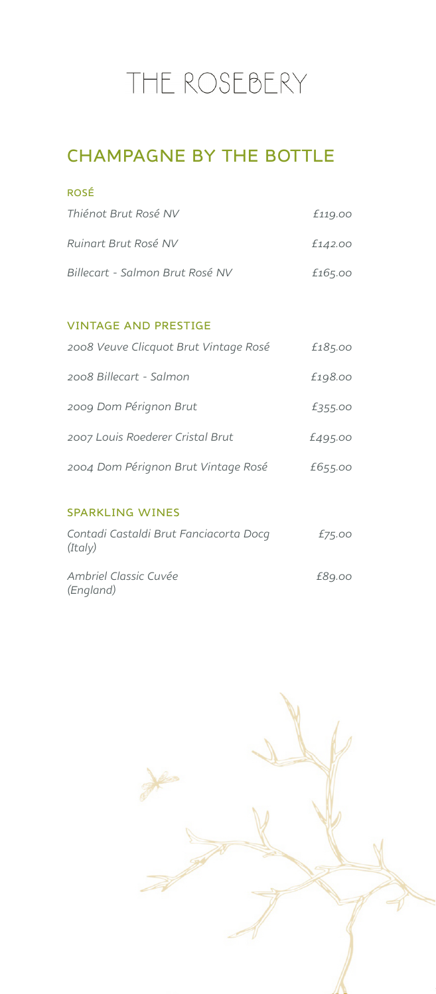## CHAMPAGNE BY THE BOTTLE

| <b>ROSÉ</b>                     |         |
|---------------------------------|---------|
| Thiénot Brut Rosé NV            | £119.00 |
| Ruinart Brut Rosé NV            | £142.00 |
| Billecart - Salmon Brut Rosé NV | £165.00 |

#### VINTAGE AND PRESTIGE

| 2008 Veuve Clicquot Brut Vintage Rosé | £185.00 |
|---------------------------------------|---------|
| 2008 Billecart - Salmon               | £198.00 |
| 2009 Dom Pérignon Brut                | £355.00 |
| 2007 Louis Roederer Cristal Brut      | £495.00 |
| 2004 Dom Pérignon Brut Vintage Rosé   | £655.00 |
|                                       |         |

#### SPARKLING WINES

| Contadi Castaldi Brut Fanciacorta Docq<br>(Italy) | £75.00 |
|---------------------------------------------------|--------|
| Ambriel Classic Cuvée<br>(England)                | £89.00 |